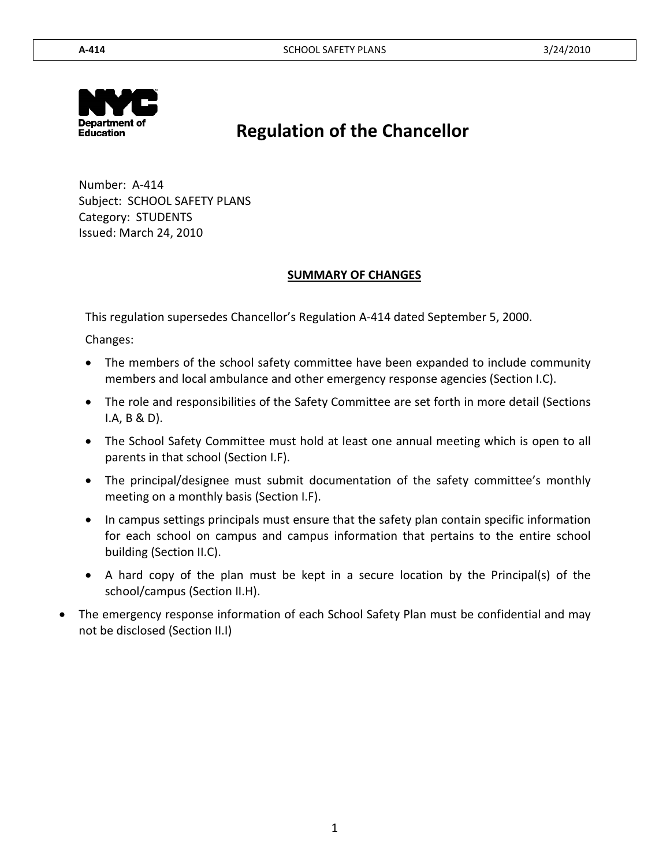

# **Regulation of the Chancellor**

 Number: A-414 Subject: SCHOOL SAFETY PLANS Category: STUDENTS Issued: March 24, 2010

### **SUMMARY OF CHANGES**

This regulation supersedes Chancellor's Regulation A-414 dated September 5, 2000.

Changes:

- The members of the school safety committee have been expanded to include community members and local ambulance and other emergency response agencies (Section I.C).
- The role and responsibilities of the Safety Committee are set forth in more detail (Sections I.A, B & D).
- The School Safety Committee must hold at least one annual meeting which is open to all parents in that school (Section I.F).
- The principal/designee must submit documentation of the safety committee's monthly meeting on a monthly basis (Section I.F).
- In campus settings principals must ensure that the safety plan contain specific information for each school on campus and campus information that pertains to the entire school building (Section II.C).
- A hard copy of the plan must be kept in a secure location by the Principal(s) of the school/campus (Section II.H).
- The emergency response information of each School Safety Plan must be confidential and may not be disclosed (Section II.I)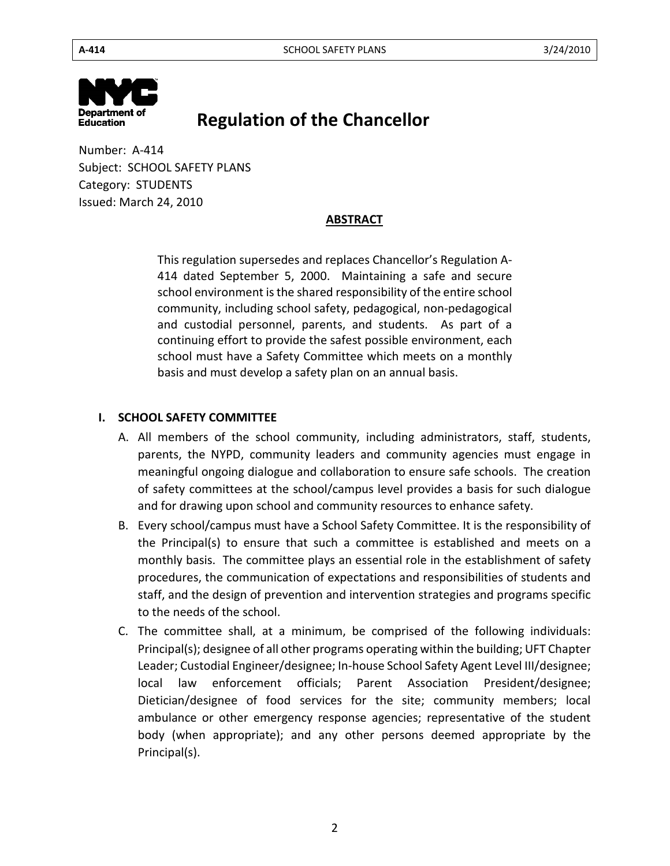

# **Regulation of the Chancellor**

 Number: A-414 Subject: SCHOOL SAFETY PLANS Category: STUDENTS Issued: March 24, 2010

### **ABSTRACT**

This regulation supersedes and replaces Chancellor's Regulation A-414 dated September 5, 2000. Maintaining a safe and secure school environment is the shared responsibility of the entire school community, including school safety, pedagogical, non-pedagogical and custodial personnel, parents, and students. As part of a continuing effort to provide the safest possible environment, each school must have a Safety Committee which meets on a monthly basis and must develop a safety plan on an annual basis.

### **I. SCHOOL SAFETY COMMITTEE**

- A. All members of the school community, including administrators, staff, students, parents, the NYPD, community leaders and community agencies must engage in meaningful ongoing dialogue and collaboration to ensure safe schools. The creation of safety committees at the school/campus level provides a basis for such dialogue and for drawing upon school and community resources to enhance safety.
- B. Every school/campus must have a School Safety Committee. It is the responsibility of the Principal(s) to ensure that such a committee is established and meets on a monthly basis. The committee plays an essential role in the establishment of safety procedures, the communication of expectations and responsibilities of students and staff, and the design of prevention and intervention strategies and programs specific to the needs of the school.
- C. The committee shall, at a minimum, be comprised of the following individuals: Principal(s); designee of all other programs operating within the building; UFT Chapter Leader; Custodial Engineer/designee; In-house School Safety Agent Level III/designee; local law enforcement officials; Parent Association President/designee; Dietician/designee of food services for the site; community members; local ambulance or other emergency response agencies; representative of the student body (when appropriate); and any other persons deemed appropriate by the Principal(s).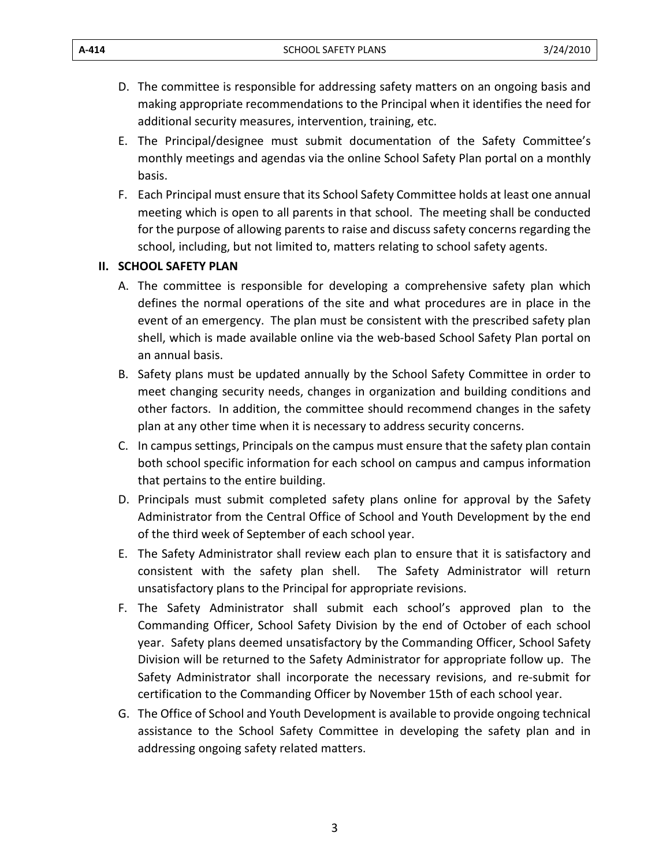- D. The committee is responsible for addressing safety matters on an ongoing basis and making appropriate recommendations to the Principal when it identifies the need for additional security measures, intervention, training, etc.
- E. The Principal/designee must submit documentation of the Safety Committee's monthly meetings and agendas via the online School Safety Plan portal on a monthly basis.
- F. Each Principal must ensure that its School Safety Committee holds at least one annual meeting which is open to all parents in that school. The meeting shall be conducted for the purpose of allowing parents to raise and discuss safety concerns regarding the school, including, but not limited to, matters relating to school safety agents.

### **II.** SCHOOL SAFETY PLAN

- A. The committee is responsible for developing a comprehensive safety plan which defines the normal operations of the site and what procedures are in place in the event of an emergency. The plan must be consistent with the prescribed safety plan shell, which is made available online via the web-based School Safety Plan portal on an annual basis.
- B. Safety plans must be updated annually by the School Safety Committee in order to meet changing security needs, changes in organization and building conditions and other factors. In addition, the committee should recommend changes in the safety plan at any other time when it is necessary to address security concerns.
- C. In campus settings, Principals on the campus must ensure that the safety plan contain both school specific information for each school on campus and campus information that pertains to the entire building.
- D. Principals must submit completed safety plans online for approval by the Safety Administrator from the Central Office of School and Youth Development by the end of the third week of September of each school year.
- E. The Safety Administrator shall review each plan to ensure that it is satisfactory and consistent with the safety plan shell. The Safety Administrator will return unsatisfactory plans to the Principal for appropriate revisions.
- F. The Safety Administrator shall submit each school's approved plan to the Commanding Officer, School Safety Division by the end of October of each school year. Safety plans deemed unsatisfactory by the Commanding Officer, School Safety Division will be returned to the Safety Administrator for appropriate follow up. The Safety Administrator shall incorporate the necessary revisions, and re-submit for certification to the Commanding Officer by November 15th of each school year.
- G. The Office of School and Youth Development is available to provide ongoing technical assistance to the School Safety Committee in developing the safety plan and in addressing ongoing safety related matters.